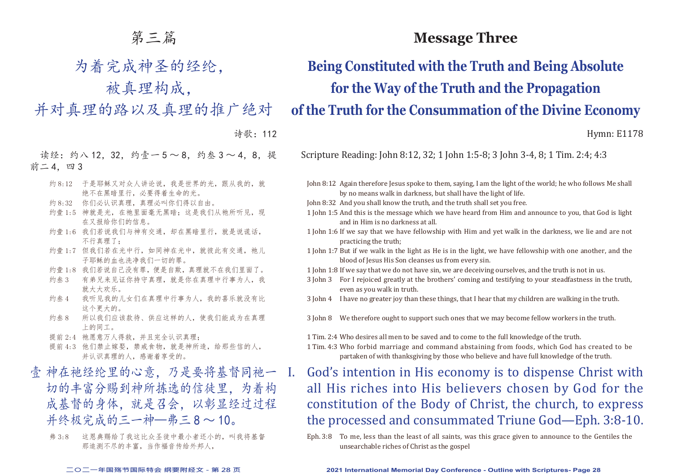## 第三篇

为着完成神圣的经纶,

被真理构成,

并对真理的路以及真理的推广绝对

诗歌:112

读经:约八 12, 32, 约壹一 5 ~ 8, 约叁 3 ~ 4, 8, 提 前二 4, 四 3

- 约 8:12 于是耶稣又对众人讲论说,我是世界的光,跟从我的,就 绝不在黑暗里行,必要得着生命的光。
- 约 8:32 你们必认识真理,真理必叫你们得以自由。
- 约壹 1:5 神就是光, 在祂里面毫无黑暗; 这是我们从祂所听见, 现 在又报给你们的信息。
- 约壹 1:6 我们若说我们与神有交通, 却在黑暗里行, 就是说谎话, 不行真理了;
- 约壹 1:7 但我们若在光中行, 如同神在光中, 就彼此有交通, 祂儿 子耶稣的血也洗净我们一切的罪。
- 约壹 1:8 我们若说自己没有罪,便是自欺,真理就不在我们里面了。
- 约叁 3 有弟兄来见证你持守真理,就是你在真理中行事为人,我 就大大欢乐。
- 约叁 4 我听见我的儿女们在真理中行事为人,我的喜乐就没有比 这个更大的。
- 约叁 8 所以我们应该款待、供应这样的人,使我们能成为在真理 上的同工。
- 提前 2:4 祂愿意万人得救,并且完全认识真理;
- 提前 4:3 他们禁止嫁娶, 禁戒食物, 就是神所造, 给那些信的人, 并认识真理的人,感谢着享受的。
- 壹 神在祂经纶里的心意, 乃是要将基督同祂一 切的丰富分赐到神所拣选的信徒里,为着构 成基督的身体,就是召会,以彰显经过过程 并终极宗成的三一神—弗三 8 ~ 10。
	- 弗 3:8 这恩典赐给了我这比众圣徒中最小者还小的,叫我将基督 那追测不尽的丰富,当作福音传给外邦人,

## **Message Three**

**Being Constituted with the Truth and Being Absolute for the Way of the Truth and the Propagation of the Truth for the Consummation of the Divine Economy**

Hymn: E1178

Scripture Reading: John 8:12, 32; 1 John 1:5-8; 3 John 3-4, 8; 1 Tim. 2:4; 4:3

- John 8:12 Again therefore Jesus spoke to them, saying, I am the light of the world; he who follows Me shall by no means walk in darkness, but shall have the light of life.
- John 8:32 And you shall know the truth, and the truth shall set you free.
- 1 John 1:5 And this is the message which we have heard from Him and announce to you, that God is light and in Him is no darkness at all.
- 1 John 1:6 If we say that we have fellowship with Him and yet walk in the darkness, we lie and are not practicing the truth;
- 1 John 1:7 But if we walk in the light as He is in the light, we have fellowship with one another, and the blood of Jesus His Son cleanses us from every sin.
- 1 John 1:8 If we say that we do not have sin, we are deceiving ourselves, and the truth is not in us.
- 3 John 3 For I rejoiced greatly at the brothers' coming and testifying to your steadfastness in the truth, even as you walk in truth.
- 3 John 4 I have no greater joy than these things, that I hear that my children are walking in the truth.
- 3 John 8 We therefore ought to support such ones that we may become fellow workers in the truth.
- 1 Tim. 2:4 Who desires all men to be saved and to come to the full knowledge of the truth.
- 1 Tim. 4:3 Who forbid marriage and command abstaining from foods, which God has created to be partaken of with thanksgiving by those who believe and have full knowledge of the truth.
- I. God's intention in His economy is to dispense Christ with all His riches into His believers chosen by God for the constitution of the Body of Christ, the church, to express the processed and consummated Triune God—Eph. 3:8-10.
	- Eph. 3:8 To me, less than the least of all saints, was this grace given to announce to the Gentiles the unsearchable riches of Christ as the gospel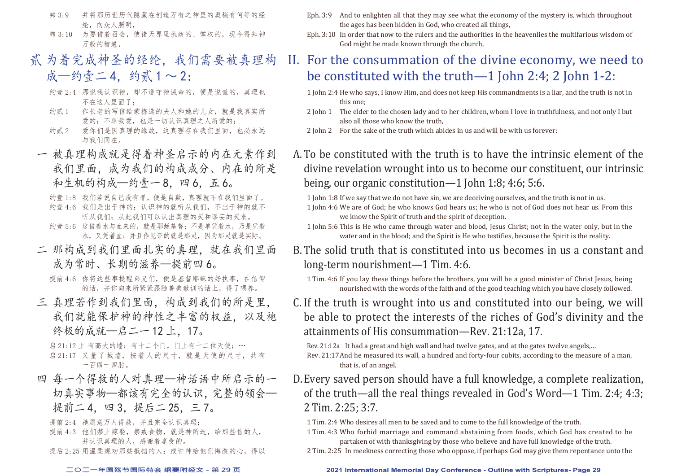- 弗 3:9 并将那历世历代隐藏在创造万有之神里的奥秘有何等的经 纶,向众人照明,
- 弗 3:10 为要借着召会,使诸天界里执政的、掌权的,现今得知神 万般的智慧
- 贰 为着完成神圣的经纶,我们需要被真理构 成—约壹二 4, 约贰  $1 \sim 2$ :
	- 约壹 2:4 那说我认识祂,却不遵守祂诫命的,便是说谎的,真理也 不在这人里面了;
	- 约贰 1 作长老的写信给蒙拣选的夫人和她的儿女, 就是我真实所 爱的:不单我爱,也是一切认识真理之人所爱的;
	- 约贰 2 爱你们是因真理的缘故, 这真理存在我们里面, 也必永远 与我们同在。
- 一 被真理构成就是得着神圣启示的内在元素作到 我们里面,成为我们的构成成分、内在的所是 和生机的构成—约壹一8,四6,五6。

约壹 1:8 我们若说自己没有罪,便是自欺,真理就不在我们里面了。 约壹 4:6 我们是出于神的;认识神的就听从我们,不出于神的就不 听从我们;从此我们可以认出真理的灵和谬妄的灵来。 约壹 5:6 这借着水与血来的, 就是耶稣基督: 不是单凭着水, 乃是凭着 水,又凭着血;并且作见证的就是那灵,因为那灵就是实际。

二 那构成到我们里面扎实的真理,就在我们里面 成为常时、长期的滋养—提前四 6。

提前 4:6 你将这些事提醒弟兄们, 便是基督耶稣的好执事, 在信仰 的话,并你向来所紧紧跟随善美教训的话上,得了喂养。

三 真理若作到我们里面,构成到我们的所是里, 我们就能保护神的神性之丰富的权益。以及祂 终极的成就—启二一12上,17。

启  $21:12 \pm \bar{4}$ 高大的墙;有十二个门,门上有十二位天使;… 启 21:17 又量了城墙,按着人的尺寸,就是天使的尺寸,共有 一百四十四肘。

四 每一个得救的人对真理—神话语中所启示的一 切真实事物—都该有完全的认识,完整的领会— 提前二 4,四 3,提后二 25,三 7。

提前 2:4 祂愿意万人得救, 并且完全认识真理;

- 提前 4:3 他们禁止嫁娶, 禁戒食物, 就是神所造, 给那些信的人, 并认识真理的人,感谢着享受的。
- 提后 2:25 用温柔规劝那些抵挡的人; 或许神给他们悔改的心, 得以
- Eph. 3:9 And to enlighten all that they may see what the economy of the mystery is, which throughout the ages has been hidden in God, who created all things,
- Eph. 3:10 In order that now to the rulers and the authorities in the heavenlies the multifarious wisdom of God might be made known through the church,

# II. For the consummation of the divine economy, we need to be constituted with the truth—1 John 2:4; 2 John 1-2:

- 1 John 2:4 He who says, I know Him, and does not keep His commandments is a liar, and the truth is not in this one;
- 2 John 1 The elder to the chosen lady and to her children, whom I love in truthfulness, and not only I but also all those who know the truth,
- 2 John 2 For the sake of the truth which abides in us and will be with us forever:
- A.To be constituted with the truth is to have the intrinsic element of the divine revelation wrought into us to become our constituent, our intrinsic being, our organic constitution—1 John 1:8; 4:6; 5:6.
	- 1 John 1:8 If we say that we do not have sin, we are deceiving ourselves, and the truth is not in us.
	- 1 John 4:6 We are of God; he who knows God hears us; he who is not of God does not hear us. From this we know the Spirit of truth and the spirit of deception.
	- 1 John 5:6 This is He who came through water and blood, Jesus Christ; not in the water only, but in the water and in the blood; and the Spirit is He who testifies, because the Spirit is the reality.
- B.The solid truth that is constituted into us becomes in us a constant and long-term nourishment—1 Tim. 4:6.
	- 1 Tim. 4:6 If you lay these things before the brothers, you will be a good minister of Christ Jesus, being nourished with the words of the faith and of the good teaching which you have closely followed.
- C. If the truth is wrought into us and constituted into our being, we will be able to protect the interests of the riches of God's divinity and the attainments of His consummation—Rev. 21:12a, 17.

Rev. 21:12a It had a great and high wall and had twelve gates, and at the gates twelve angels,… Rev. 21:17And he measured its wall, a hundred and forty-four cubits, according to the measure of a man, that is, of an angel.

- D.Every saved person should have a full knowledge, a complete realization, of the truth—all the real things revealed in God's Word—1 Tim. 2:4; 4:3; 2 Tim. 2:25; 3:7.
	- 1 Tim. 2:4 Who desires all men to be saved and to come to the full knowledge of the truth.
	- 1 Tim. 4:3 Who forbid marriage and command abstaining from foods, which God has created to be partaken of with thanksgiving by those who believe and have full knowledge of the truth.
	- 2 Tim. 2:25 In meekness correcting those who oppose, if perhaps God may give them repentance unto the

#### **二○二一年国殇节国际特会 纲要附经文 - 第 29 页 2021 International Memorial Day Conference - Outline with Scriptures- Page 29**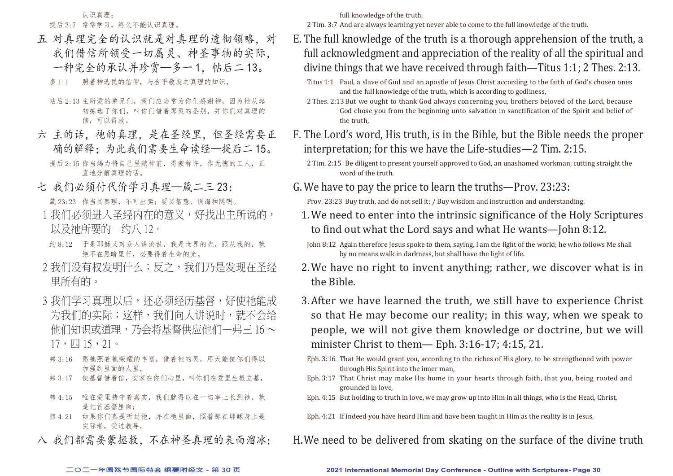认识真理; 提后 3:7 常常学习,终久不能认识真理。

五 对真理完全的认识就是对真理的透彻领略,对 我们借信所领受一切属灵、神圣事物的实际, 一种完全的承认并珍赏—多一1,帖后二13。

多 1:1 照着神选民的信仰,与合乎敬虔之真理的知识,

- 帖后 2:13 主所爱的弟兄们,我们应当常为你们感谢神,因为祂从起 初拣选了你们,叫你们借着那灵的圣别,并你们对真理的 信,可以得救。
- 六 主的话,祂他真理,是在圣经里,但圣经需要正 确的解释;为此我们需要生命读经—提后二 15。 提后 2:15 你当竭力将自己呈献神前, 得蒙称许, 作无愧的工人, 正 直地分解真理的话。
- 七 我们必须付代价学习真理—箴二三 23:

箴 23:23 你当买真理,不可出卖;要买智慧、训诲和聪明。

- 1 我们必须进入圣经内在的意义,好找出主所说的, 以及祂所要的—约八 12。
- 约 8:12 干是耶稣又对众人讲论说,我是世界的光, 跟从我的, 就 绝不在黑暗里行,必要得着生命的光。
- 2 我们没有权发明什么;反之,我们乃是发现在圣经 里所有的。
- 3 我们学习真理以后,还必须经历基督,好使祂能成 为我们的实际;这样,我们向人讲说时,就不会给 他们知识或道理,乃会将基督供应他们一弗三 16 ~ 17,四 15,21。
- 弗 3:16 愿祂照着祂荣耀的丰富, 借着祂的灵, 用大能使你们得以 加强到里面的人里,
- 弗 3:17 使基督借着信, 安家在你们心里, 叫你们在爱里生根立基,
- 弗 4:15 唯在爱里持守着真实,我们就得以在一切事上长到祂,就 是元首基督里面;
- 弗 4:21 如果你们真是听过祂,并在祂里面,照着那在耶稣身上是 实际者,受过教导,
- 八 我们都需要蒙拯救,不在神圣真理的表面溜冰;

full knowledge of the truth,

2 Tim. 3:7 And are always learning yet never able to come to the full knowledge of the truth.

- E. The full knowledge of the truth is a thorough apprehension of the truth, a full acknowledgment and appreciation of the reality of all the spiritual and divine things that we have received through faith—Titus 1:1; 2 Thes. 2:13.
	- Titus 1:1 Paul, a slave of God and an apostle of Jesus Christ according to the faith of God's chosen ones and the full knowledge of the truth, which is according to godliness,
	- 2 Thes. 2:13But we ought to thank God always concerning you, brothers beloved of the Lord, because God chose you from the beginning unto salvation in sanctification of the Spirit and belief of the truth,
- F. The Lord's word, His truth, is in the Bible, but the Bible needs the proper interpretation; for this we have the Life-studies—2 Tim. 2:15.

- G.We have to pay the price to learn the truths—Prov. 23:23: Prov. 23:23 Buy truth, and do not sell it; / Buy wisdom and instruction and understanding.
	- 1.We need to enter into the intrinsic significance of the Holy Scriptures to find out what the Lord says and what He wants—John 8:12.
	- John 8:12 Again therefore Jesus spoke to them, saying, I am the light of the world; he who follows Me shall by no means walk in darkness, but shall have the light of life.
	- 2.We have no right to invent anything; rather, we discover what is in the Bible.
	- 3.After we have learned the truth, we still have to experience Christ so that He may become our reality; in this way, when we speak to people, we will not give them knowledge or doctrine, but we will minister Christ to them— Eph. 3:16-17; 4:15, 21.
	- Eph. 3:16 That He would grant you, according to the riches of His glory, to be strengthened with power through His Spirit into the inner man,
	- Eph. 3:17 That Christ may make His home in your hearts through faith, that you, being rooted and grounded in love,
	- Eph. 4:15 But holding to truth in love, we may grow up into Him in all things, who is the Head, Christ,
	- Eph. 4:21 If indeed you have heard Him and have been taught in Him as the reality is in Jesus,
- H.We need to be delivered from skating on the surface of the divine truth

<sup>2</sup> Tim. 2:15 Be diligent to present yourself approved to God, an unashamed workman, cutting straight the word of the truth.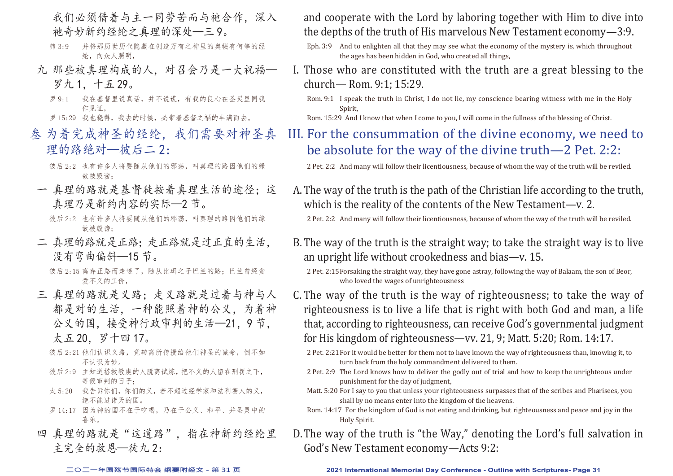- 我们必须借着与主一同劳苦而与祂合作,深入 祂奇妙新约经纶之真理的深处—三 9。
- 弗 3:9 并将那历世历代隐藏在创造万有之神里的奥秘有何等的经 纶,向众人照明,
- 九 那些被真理构成的人,对召会乃是一大祝福— 罗九 1,十五 29。
	- 罗 9:1 我在基督里说真话,并不说谎,有我的良心在圣灵里同我 作见证,

罗 15:29 我也晓得,我去的时候,必带着基督之福的丰满而去。

- 叁 为着完成神圣的经纶,我们需要对神圣真 理的路绝对––彼后二2:
	- 彼后 2:2 也有许多人将要随从他们的邪荡, 叫真理的路因他们的缘 故被毁谤;
- 一 真理的路就是基督徒按着真理生活的途径;这 真理乃是新约内容的实际—2 节。
	- 彼后 2:2 也有许多人将要随从他们的邪荡, 叫真理的路因他们的缘 故被毁谤;
- 二 真理的路就是正路;走正路就是过正直的生活, 没有弯曲偏斜—15 节。

彼后 2:15 离弃正路而走迷了, 随从比珥之子巴兰的路; 巴兰曾经贪 爱不义的工价,

- 三 真理的路就是义路;走义路就是过着与神与人 都是对的生活,一种能照着神的公义,为着神 公义的国,接受神行政审判的生活—21,9 节, 太五 20,罗十四 17。
	- 彼后 2:21 他们认识义路, 竟转离所传授给他们神圣的诫命, 倒不如 不认识为妙。
	- 彼后 2:9 主知道搭救敬虔的人脱离试炼, 把不义的人留在刑罚之下, 等候审判的日子;
	- 太 5:20 我告诉你们, 你们的义, 若不超过经学家和法利赛人的义, 绝不能进诸天的国。
	- 罗 14:17 因为神的国不在于吃喝,乃在于公义、和平、并圣灵中的 喜乐。
- 四 真理的路就是"这道路"。指在神新约经纶里 主完全的救恩—徒九 2:

and cooperate with the Lord by laboring together with Him to dive into the depths of the truth of His marvelous New Testament economy—3:9.

- Eph. 3:9 And to enlighten all that they may see what the economy of the mystery is, which throughout the ages has been hidden in God, who created all things,
- I. Those who are constituted with the truth are a great blessing to the church— Rom. 9:1; 15:29.

Rom. 9:1 I speak the truth in Christ, I do not lie, my conscience bearing witness with me in the Holy Spirit,

Rom. 15:29 And I know that when I come to you, I will come in the fullness of the blessing of Christ.

III. For the consummation of the divine economy, we need to be absolute for the way of the divine truth—2 Pet. 2:2:

2 Pet. 2:2 And many will follow their licentiousness, because of whom the way of the truth will be reviled.

- A.The way of the truth is the path of the Christian life according to the truth, which is the reality of the contents of the New Testament—v. 2. 2 Pet. 2:2 And many will follow their licentiousness, because of whom the way of the truth will be reviled.
- B.The way of the truth is the straight way; to take the straight way is to live an upright life without crookedness and bias—v. 15.
	- 2 Pet. 2:15Forsaking the straight way, they have gone astray, following the way of Balaam, the son of Beor, who loved the wages of unrighteousness
- C. The way of the truth is the way of righteousness; to take the way of righteousness is to live a life that is right with both God and man, a life that, according to righteousness, can receive God's governmental judgment for His kingdom of righteousness—vv. 21, 9; Matt. 5:20; Rom. 14:17.
	- 2 Pet. 2:21For it would be better for them not to have known the way of righteousness than, knowing it, to turn back from the holy commandment delivered to them.
	- 2 Pet. 2:9 The Lord knows how to deliver the godly out of trial and how to keep the unrighteous under punishment for the day of judgment,
	- Matt. 5:20 For I say to you that unless your righteousness surpasses that of the scribes and Pharisees, you shall by no means enter into the kingdom of the heavens.
	- Rom. 14:17 For the kingdom of God is not eating and drinking, but righteousness and peace and joy in the Holy Spirit.
- D.The way of the truth is "the Way," denoting the Lord's full salvation in God's New Testament economy—Acts 9:2: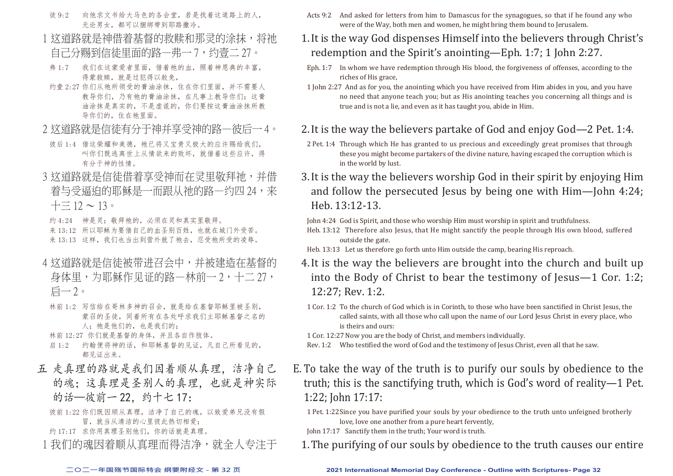- 徒 9:2 向他求文书给大马色的各会堂,若是找着这道路上的人, 无论男女,都可以捆绑带到耶路撒冷。
- 1 这道路就是神借着基督的救赎和那灵的涂抹,将祂 自己分赐到信徒里面的路—弗一 7,约壹二 27。
- 弗 1:7 我们在这蒙爱者里面,借着祂的血,照着神恩典的丰富, 得蒙救赎,就是过犯得以赦免,
- 约壹 2:27 你们从祂所领受的膏油涂抹, 住在你们里面, 并不需要人 教导你们,乃有祂的膏油涂抹,在凡事上教导你们;这膏 油涂抹是真实的,不是虚谎的,你们要按这膏油涂抹所教 导你们的,住在祂里面。
- 2 这道路就是信徒有分于神并享受神的路一彼后一 4。
- 彼后 1:4 借这荣耀和美德, 祂已将又宝贵又极大的应许赐给我们, 叫你们既逃离世上从情欲来的败坏,就借着这些应许,得 有分于神的性情。
- 3 这道路就是信徒借着享受神而在灵里敬拜祂,并借 着与受逼迫的耶稣是一而跟从祂的路—约四 24,来  $+\equiv 12 \sim 13$

约 4:24 神是灵;敬拜祂的,必须在灵和真实里敬拜。 来 13:12 所以耶稣为要借自己的血圣别百姓, 也就在城门外受苦。 来 13:13 这样, 我们也当出到营外就了祂去, 忍受祂所受的凌辱。

- 4 这道路就是信徒被带进召会中,并被建造在基督的 身体里,为耶稣作见证的路—林前一 2, 十二 27, 启一 2。
- 林前 1:2 写信给在哥林多神的召会,就是给在基督耶稣里被圣别, 蒙召的圣徒,同着所有在各处呼求我们主耶稣基督之名的 人; 祂是他们的, 也是我们的;
- 林前 12:27 你们就是基督的身体,并且各自作肢体。
- 启 1:2 约翰便将神的话,和耶稣基督的见证,凡自己所看见的, 都见证出来。
- 五 走真理的路就是我们因着顺从真理,洁净自己 的魂;这真理是圣别人的真理,也就是神实际 的话—彼前一 22. 约十七 17:
	- 彼前 1:22 你们既因顺从真理,洁净了自己的魂,以致爱弟兄没有假 冒,就当从清洁的心里彼此热切相爱;
	- 约 17:17 求你用真理圣别他们,你的话就是真理。
	- 1 我们的魂因着顺从真理而得洁净,就全人专注于

Acts 9:2 And asked for letters from him to Damascus for the synagogues, so that if he found any who were of the Way, both men and women, he might bring them bound to Jerusalem.

## 1.It is the way God dispenses Himself into the believers through Christ's redemption and the Spirit's anointing—Eph. 1:7; 1 John 2:27.

- Eph. 1:7 In whom we have redemption through His blood, the forgiveness of offenses, according to the riches of His grace,
- 1 John 2:27 And as for you, the anointing which you have received from Him abides in you, and you have no need that anyone teach you; but as His anointing teaches you concerning all things and is true and is not a lie, and even as it has taught you, abide in Him.

### 2.It is the way the believers partake of God and enjoy God—2 Pet. 1:4.

- 2 Pet. 1:4 Through which He has granted to us precious and exceedingly great promises that through these you might become partakers of the divine nature, having escaped the corruption which is in the world by lust.
- 3.It is the way the believers worship God in their spirit by enjoying Him and follow the persecuted Jesus by being one with Him—John 4:24; Heb. 13:12-13.

John 4:24 God is Spirit, and those who worship Him must worship in spirit and truthfulness.

- Heb. 13:12 Therefore also Jesus, that He might sanctify the people through His own blood, suffered outside the gate.
- Heb. 13:13 Let us therefore go forth unto Him outside the camp, bearing His reproach.
- 4.It is the way the believers are brought into the church and built up into the Body of Christ to bear the testimony of Jesus—1 Cor. 1:2; 12:27; Rev. 1:2.
- 1 Cor. 1:2 To the church of God which is in Corinth, to those who have been sanctified in Christ Jesus, the called saints, with all those who call upon the name of our Lord Jesus Christ in every place, who is theirs and ours:

1 Cor. 12:27Now you are the body of Christ, and members individually.

- Rev. 1:2 Who testified the word of God and the testimony of Jesus Christ, even all that he saw.
- E. To take the way of the truth is to purify our souls by obedience to the truth; this is the sanctifying truth, which is God's word of reality—1 Pet. 1:22; John 17:17:
	- 1 Pet. 1:22Since you have purified your souls by your obedience to the truth unto unfeigned brotherly love, love one another from a pure heart fervently,

John 17:17 Sanctify them in the truth; Your word is truth.

1.The purifying of our souls by obedience to the truth causes our entire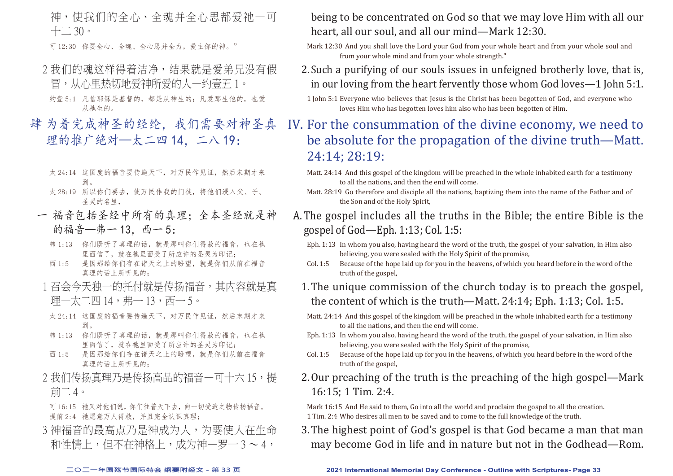神,使我们的全心、全魂并全心思都爱祂—可  $+$   $-$  30  $\circ$ 

可 12:30 你要全心、全魂、全心思并全力,爱主你的神。"

- 2 我们的魂这样得着洁净,结果就是爱弟兄没有假 冒,从心里热切地爱神所爱的人—约壹五 1。
	- 约壹 5:1 凡信耶稣是基督的,都是从神生的;凡爱那生他的,也爱 从祂生的。
- 肆 为着完成神圣的经纶,我们需要对神圣真 理的推广绝对—太二四 14, 二八 19:
	- 太 24:14 这国度的福音要传遍天下,对万民作见证,然后末期才来 到。
	- 太 28:19 所以你们要去,使万民作我的门徒,将他们浸入父、子、 圣灵的名里,
	- 一 福音包括圣经中所有的真理;全本圣经就是神 的福音—弗一13. 西一5:
		- 弗 1:13 你们既听了真理的话, 就是那叫你们得救的福音, 也在祂 里面信了,就在祂里面受了所应许的圣灵为印记;
		- 西 1:5 是因那给你们存在诸天之上的盼望,就是你们从前在福音 真理的话上所听见的;
		- 1 召会今天独一的托付就是传扬福音,其内容就是直 理—太二四 14, 弗— 13, 西— 5。
		- 太 24:14 这国度的福音要传遍天下,对万民作见证,然后末期才来 到。
		- 弗 1:13 你们既听了真理的话, 就是那叫你们得救的福音, 也在祂 里面信了,就在祂里面受了所应许的圣灵为印记;
		- 西 1:5 是因那给你们存在诸天之上的盼望,就是你们从前在福音 真理的话上所听见的;
	- 2 我们传扬真理乃是传扬高品的福音—可十六 15, 提 前二 4。

可 16:15 祂又对他们说,你们往普天下去,向一切受造之物传扬福音。 提前 2:4 祂愿意万人得救, 并且完全认识真理;

3 神福音的最高点乃是神成为人,为要使人在生命 和性情上,但不在神格上,成为神—罗一 3 ~ 4,

being to be concentrated on God so that we may love Him with all our heart, all our soul, and all our mind—Mark 12:30.

- Mark 12:30 And you shall love the Lord your God from your whole heart and from your whole soul and from your whole mind and from your whole strength."
- 2.Such a purifying of our souls issues in unfeigned brotherly love, that is, in our loving from the heart fervently those whom God loves—1 John 5:1.

- IV. For the consummation of the divine economy, we need to be absolute for the propagation of the divine truth—Matt. 24:14; 28:19:
	- Matt. 24:14 And this gospel of the kingdom will be preached in the whole inhabited earth for a testimony to all the nations, and then the end will come.
	- Matt. 28:19 Go therefore and disciple all the nations, baptizing them into the name of the Father and of the Son and of the Holy Spirit,
- A.The gospel includes all the truths in the Bible; the entire Bible is the gospel of God—Eph. 1:13; Col. 1:5:
	- Eph. 1:13 In whom you also, having heard the word of the truth, the gospel of your salvation, in Him also believing, you were sealed with the Holy Spirit of the promise,
	- Col. 1:5 Because of the hope laid up for you in the heavens, of which you heard before in the word of the truth of the gospel,
	- 1.The unique commission of the church today is to preach the gospel, the content of which is the truth—Matt. 24:14; Eph. 1:13; Col. 1:5.
	- Matt. 24:14 And this gospel of the kingdom will be preached in the whole inhabited earth for a testimony to all the nations, and then the end will come.
	- Eph. 1:13 In whom you also, having heard the word of the truth, the gospel of your salvation, in Him also believing, you were sealed with the Holy Spirit of the promise,
	- Col. 1:5 Because of the hope laid up for you in the heavens, of which you heard before in the word of the truth of the gospel,
	- 2.Our preaching of the truth is the preaching of the high gospel—Mark 16:15; 1 Tim. 2:4.

Mark 16:15 And He said to them, Go into all the world and proclaim the gospel to all the creation. 1 Tim. 2:4 Who desires all men to be saved and to come to the full knowledge of the truth.

3.The highest point of God's gospel is that God became a man that man may become God in life and in nature but not in the Godhead—Rom.

<sup>1</sup> John 5:1 Everyone who believes that Jesus is the Christ has been begotten of God, and everyone who loves Him who has begotten loves him also who has been begotten of Him.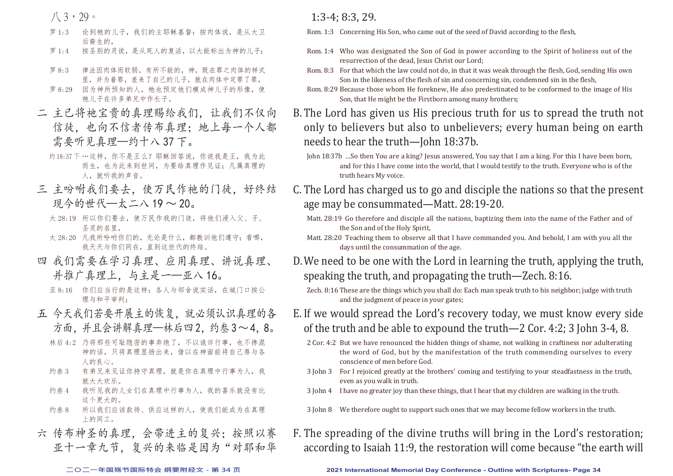八 3,29。

- 罗 1:3 论到祂的儿子,我们的主耶稣基督:按肉体说,是从大卫 后裔生的,
- 罗 1:4 按圣别的灵说, 是从死人的复活, 以大能标出为神的儿子;
- 罗 8:3 律法因肉体而软弱,有所不能的,神,既在罪之肉体的样式 里,并为着罪,差来了自己的儿子,就在肉体中定罪了罪,
- 罗 8:29 因为神所预知的人, 祂也预定他们模成神儿子的形像, 使 祂儿子在许多弟兄中作长子。
- 二 主已将祂宝贵的真理赐给我们,让我们不仅向 信徒,也向不信者传布真理;地上每一个人都 需要听见真理—约十八 37 下。
	- 约18:37下…这样,你不是王么?耶稣回答说,你说我是王,我为此 而生,也为此来到世间,为要给真理作见证;凡属真理的 人,就听我的声音。
- 三 主吩咐我们要去,使万民作祂的门徒,好终结 现今的世代—太二八 19 ~ 20。
	- 太 28:19 所以你们要去,使万民作我的门徒,将他们浸入父、子、 圣灵的名里,
	- 太 28:20 凡我所吩咐你们的,无论是什么,都教训他们遵守;看哪, 我天天与你们同在,直到这世代的终结。
- 四 我们需要在学习真理、应用真理、讲说真理、 并推广真理上,与主是一—亚八 16。
	- 亚 8:16 你们应当行的是这样:各人与邻舍说实话,在城门口按公 理与和平审判;
- 五 今天我们若要开展主的恢复,就必须认识真理的各 方面,并且会讲解真理—林后四2. 约叁3~4.8。
	- 林后 4:2 乃将那些可耻隐密的事弃绝了,不以诡诈行事,也不搀混 神的话,只将真理显扬出来,借以在神面前将自己荐与各 人的良心。
	- 约叁 3 有弟兄来见证你持守真理,就是你在真理中行事为人,我 就大大欢乐。
	- 约叁 4 我听见我的儿女们在真理中行事为人,我的喜乐就没有比 这个更大的。
	- 约叁 8 所以我们应该款待、供应这样的人,使我们能成为在真理 上的同工。
- 六 传布神圣的真理,会带进主的复兴;按照以赛 亚十一章九节,复兴的来临是因为"对耶和华

1:3-4; 8:3, 29.

- Rom. 1:3 Concerning His Son, who came out of the seed of David according to the flesh,
- Rom. 1:4 Who was designated the Son of God in power according to the Spirit of holiness out of the resurrection of the dead, Jesus Christ our Lord:
- Rom. 8:3 For that which the law could not do, in that it was weak through the flesh, God, sending His own Son in the likeness of the flesh of sin and concerning sin, condemned sin in the flesh,
- Rom. 8:29 Because those whom He foreknew, He also predestinated to be conformed to the image of His Son, that He might be the Firstborn among many brothers;
- B.The Lord has given us His precious truth for us to spread the truth not only to believers but also to unbelievers; every human being on earth needs to hear the truth—John 18:37b.

- C. The Lord has charged us to go and disciple the nations so that the present age may be consummated—Matt. 28:19-20.
	- Matt. 28:19 Go therefore and disciple all the nations, baptizing them into the name of the Father and of the Son and of the Holy Spirit,
	- Matt. 28:20 Teaching them to observe all that I have commanded you. And behold, I am with you all the days until the consummation of the age.
- D.We need to be one with the Lord in learning the truth, applying the truth, speaking the truth, and propagating the truth—Zech. 8:16.
	- Zech. 8:16 These are the things which you shall do: Each man speak truth to his neighbor; judge with truth and the judgment of peace in your gates;
- E. If we would spread the Lord's recovery today, we must know every side of the truth and be able to expound the truth—2 Cor. 4:2; 3 John 3-4, 8.
	- 2 Cor. 4:2 But we have renounced the hidden things of shame, not walking in craftiness nor adulterating the word of God, but by the manifestation of the truth commending ourselves to every conscience of men before God.
	- 3 John 3 For I rejoiced greatly at the brothers' coming and testifying to your steadfastness in the truth, even as you walk in truth.
- 3 John 4 I have no greater joy than these things, that I hear that my children are walking in the truth.
	- 3 John 8 We therefore ought to support such ones that we may become fellow workers in the truth.
- F. The spreading of the divine truths will bring in the Lord's restoration; according to Isaiah 11:9, the restoration will come because "the earth will

#### **二○二一年国殇节国际特会 纲要附经文 - 第 34 页 2021 International Memorial Day Conference - Outline with Scriptures- Page 34**

John 18:37b …So then You are a king? Jesus answered, You say that I am a king. For this I have been born, and for this I have come into the world, that I would testify to the truth. Everyone who is of the truth hears My voice.